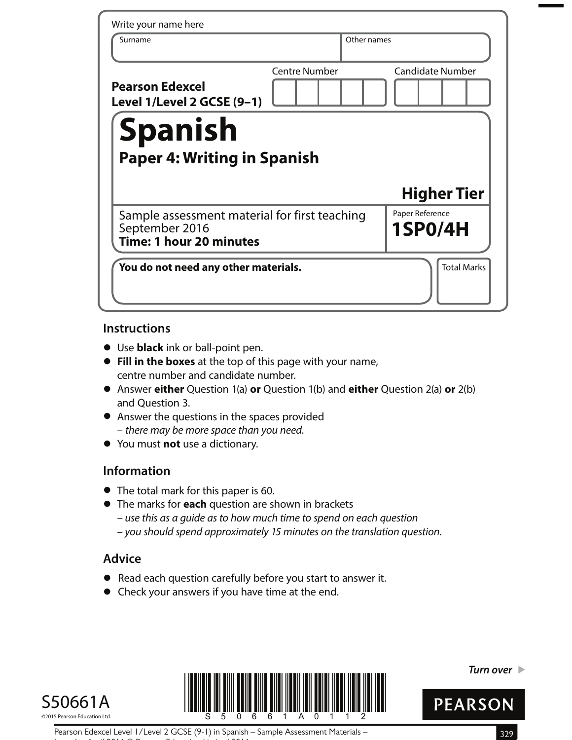| Write your name here                                                                       |                      |                                   |
|--------------------------------------------------------------------------------------------|----------------------|-----------------------------------|
| Surname                                                                                    | Other names          |                                   |
|                                                                                            | <b>Centre Number</b> | <b>Candidate Number</b>           |
| <b>Pearson Edexcel</b><br>Level 1/Level 2 GCSE (9-1)                                       |                      |                                   |
| <b>Spanish</b>                                                                             |                      |                                   |
|                                                                                            |                      |                                   |
| <b>Paper 4: Writing in Spanish</b>                                                         |                      |                                   |
|                                                                                            |                      | <b>Higher Tier</b>                |
| Sample assessment material for first teaching<br>September 2016<br>Time: 1 hour 20 minutes |                      | Paper Reference<br><b>1SP0/4H</b> |

## **Instructions**

- **•** Use **black** ink or ball-point pen.
- **• Fill in the boxes** at the top of this page with your name, centre number and candidate number.
- **•** Answer **either** Question 1(a) **or** Question 1(b) and **either** Question 2(a) **or** 2(b) and Question 3.
- **•** Answer the questions in the spaces provided – there may be more space than you need.
- **•** You must **not** use a dictionary.

## **Information**

- **•** The total mark for this paper is 60.
- **•** The marks for **each** question are shown in brackets
	- use this as a guide as to how much time to spend on each question
	- you should spend approximately 15 minutes on the translation question.

## **Advice**

- **•** Read each question carefully before you start to answer it.
- Read each question carefully before you start to<br>• Check your answers if you have time at the end.





**Turn over** 

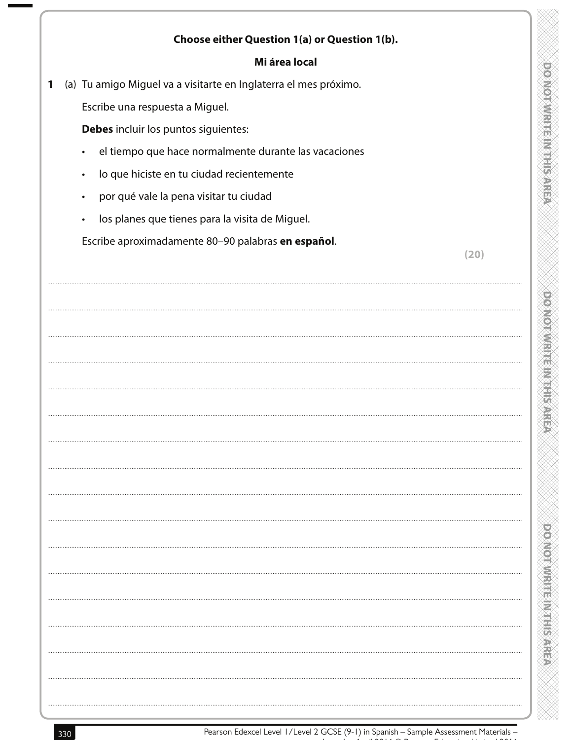| Choose either Question 1(a) or Question 1(b).                    |      |
|------------------------------------------------------------------|------|
| Mi área local                                                    |      |
| (a) Tu amigo Miguel va a visitarte en Inglaterra el mes próximo. |      |
| Escribe una respuesta a Miguel.                                  |      |
| Debes incluir los puntos siguientes:                             |      |
| el tiempo que hace normalmente durante las vacaciones            |      |
| lo que hiciste en tu ciudad recientemente<br>$\bullet$           |      |
| por qué vale la pena visitar tu ciudad<br>$\bullet$              |      |
| los planes que tienes para la visita de Miguel.<br>$\bullet$     |      |
| Escribe aproximadamente 80-90 palabras en español.               | (20) |
|                                                                  |      |
|                                                                  |      |
|                                                                  |      |
|                                                                  |      |
|                                                                  |      |
|                                                                  |      |
|                                                                  |      |
|                                                                  |      |
|                                                                  |      |
|                                                                  |      |
|                                                                  |      |
|                                                                  |      |
|                                                                  |      |
|                                                                  |      |
|                                                                  |      |
|                                                                  |      |
|                                                                  |      |
|                                                                  |      |
|                                                                  |      |
|                                                                  |      |
|                                                                  |      |

╳

Г

n,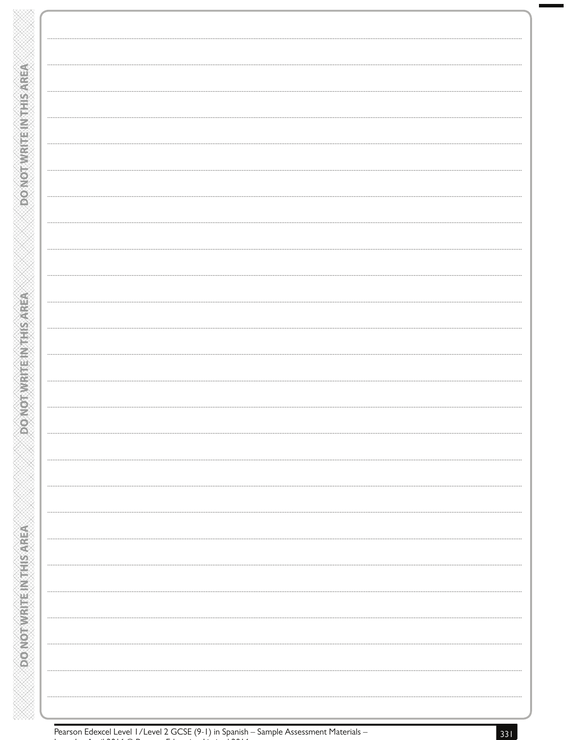|                               | . |
|-------------------------------|---|
|                               |   |
|                               |   |
|                               |   |
|                               |   |
|                               |   |
|                               |   |
|                               |   |
|                               |   |
|                               |   |
|                               |   |
| <b>FRANCISCO</b>              |   |
|                               |   |
|                               |   |
|                               |   |
|                               |   |
|                               |   |
|                               |   |
|                               |   |
|                               |   |
|                               |   |
|                               |   |
|                               |   |
|                               |   |
|                               |   |
|                               |   |
|                               |   |
|                               |   |
|                               |   |
|                               |   |
|                               |   |
| <b>METHER NEW EER</b>         |   |
|                               |   |
|                               |   |
|                               |   |
|                               |   |
|                               |   |
|                               |   |
|                               |   |
|                               |   |
|                               |   |
|                               |   |
|                               |   |
|                               |   |
|                               |   |
|                               |   |
|                               |   |
|                               |   |
|                               |   |
|                               |   |
|                               |   |
|                               |   |
|                               |   |
|                               |   |
|                               |   |
|                               |   |
|                               |   |
|                               |   |
|                               |   |
|                               |   |
|                               |   |
|                               |   |
|                               |   |
|                               |   |
|                               |   |
|                               |   |
|                               |   |
|                               |   |
|                               |   |
|                               | . |
|                               |   |
|                               |   |
|                               |   |
|                               |   |
|                               |   |
|                               |   |
|                               |   |
|                               |   |
| <b>REPARELLE MARKED MODES</b> |   |
|                               |   |
|                               |   |
|                               |   |
|                               |   |
|                               |   |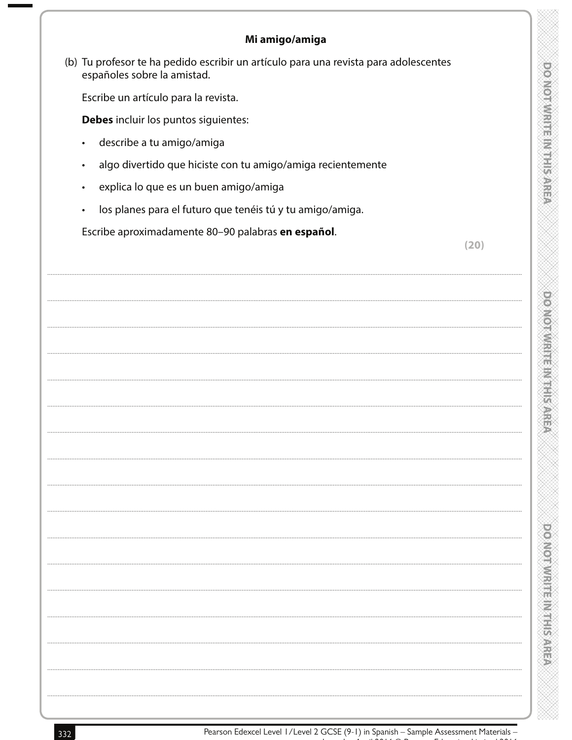| Mi amigo/amiga                                                                                                      |
|---------------------------------------------------------------------------------------------------------------------|
| (b) Tu profesor te ha pedido escribir un artículo para una revista para adolescentes<br>españoles sobre la amistad. |
| Escribe un artículo para la revista.                                                                                |
| <b>Debes</b> incluir los puntos siguientes:                                                                         |
| describe a tu amigo/amiga<br>$\bullet$                                                                              |
| algo divertido que hiciste con tu amigo/amiga recientemente<br>$\bullet$                                            |
| explica lo que es un buen amigo/amiga<br>$\bullet$                                                                  |
| los planes para el futuro que tenéis tú y tu amigo/amiga.<br>$\bullet$                                              |
| Escribe aproximadamente 80–90 palabras en español.                                                                  |

 $(20)$ 

poworwith shyral system

|   | en<br>All         |
|---|-------------------|
|   | 医类类               |
| . | ₩<br>3            |
|   | 耍                 |
|   |                   |
|   |                   |
|   |                   |
|   |                   |
|   | 6<br>C            |
|   |                   |
| . | <b>RATED MEES</b> |
| . | ۲<br>Ď<br>ΠŢ      |
|   | D                 |
|   |                   |
|   |                   |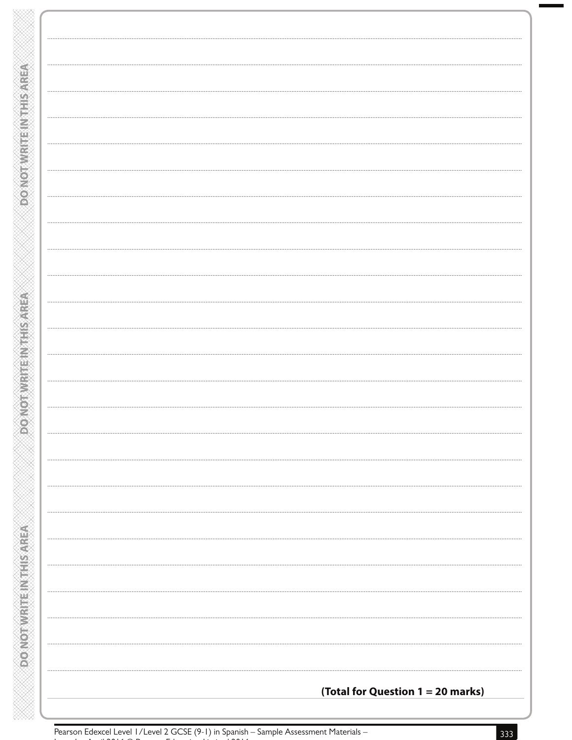|                                | .                                 |
|--------------------------------|-----------------------------------|
|                                |                                   |
|                                |                                   |
|                                |                                   |
|                                |                                   |
|                                |                                   |
|                                |                                   |
|                                |                                   |
|                                |                                   |
|                                |                                   |
|                                |                                   |
|                                |                                   |
|                                |                                   |
|                                |                                   |
|                                |                                   |
|                                |                                   |
|                                |                                   |
|                                |                                   |
|                                |                                   |
|                                |                                   |
|                                |                                   |
|                                |                                   |
|                                |                                   |
|                                |                                   |
|                                |                                   |
|                                |                                   |
|                                |                                   |
|                                |                                   |
|                                |                                   |
|                                |                                   |
|                                |                                   |
|                                |                                   |
|                                |                                   |
|                                |                                   |
|                                |                                   |
|                                |                                   |
|                                |                                   |
|                                |                                   |
|                                |                                   |
|                                |                                   |
|                                |                                   |
|                                |                                   |
|                                |                                   |
|                                |                                   |
|                                |                                   |
|                                |                                   |
| <b>POINOT WRITEIN ITS AREA</b> |                                   |
|                                |                                   |
|                                |                                   |
|                                |                                   |
|                                |                                   |
|                                | (Total for Question 1 = 20 marks) |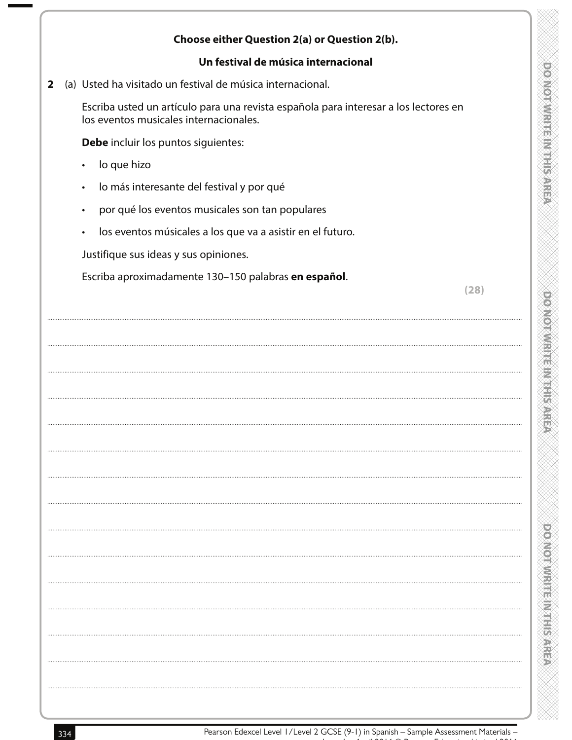|              | Choose either Question 2(a) or Question 2(b).                                                                                  |  |
|--------------|--------------------------------------------------------------------------------------------------------------------------------|--|
|              | Un festival de música internacional                                                                                            |  |
| $\mathbf{2}$ | (a) Usted ha visitado un festival de música internacional.                                                                     |  |
|              | Escriba usted un artículo para una revista española para interesar a los lectores en<br>los eventos musicales internacionales. |  |
|              | Debe incluir los puntos siguientes:                                                                                            |  |
|              | lo que hizo                                                                                                                    |  |
|              | lo más interesante del festival y por qué<br>$\bullet$                                                                         |  |
|              | por qué los eventos musicales son tan populares<br>$\bullet$                                                                   |  |
|              | los eventos músicales a los que va a asistir en el futuro.                                                                     |  |
|              | Justifique sus ideas y sus opiniones.                                                                                          |  |
|              | Escriba aproximadamente 130-150 palabras en español.                                                                           |  |
|              | (28)                                                                                                                           |  |
|              |                                                                                                                                |  |
|              |                                                                                                                                |  |
|              |                                                                                                                                |  |
|              |                                                                                                                                |  |
|              |                                                                                                                                |  |
|              |                                                                                                                                |  |
|              |                                                                                                                                |  |
|              |                                                                                                                                |  |
|              |                                                                                                                                |  |
|              |                                                                                                                                |  |
|              |                                                                                                                                |  |
|              |                                                                                                                                |  |
|              |                                                                                                                                |  |
|              |                                                                                                                                |  |
|              |                                                                                                                                |  |
|              |                                                                                                                                |  |
|              |                                                                                                                                |  |
|              |                                                                                                                                |  |
|              |                                                                                                                                |  |
|              |                                                                                                                                |  |
|              |                                                                                                                                |  |
|              |                                                                                                                                |  |

Г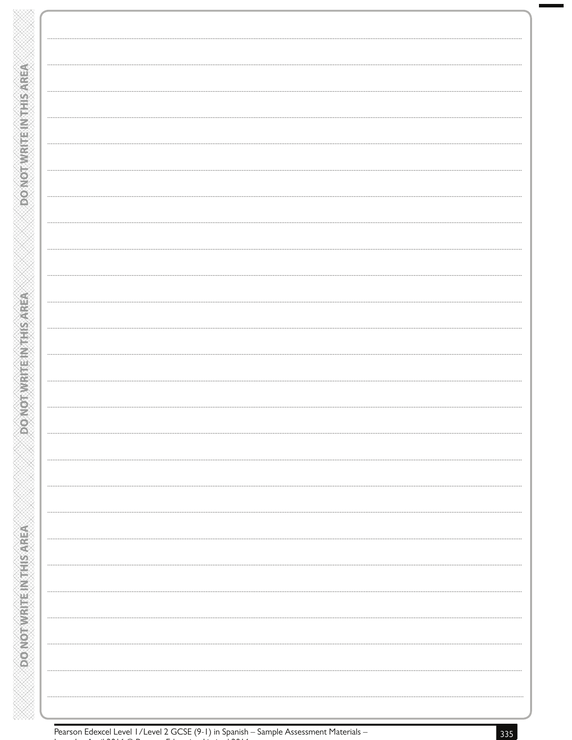|                               | . |
|-------------------------------|---|
|                               |   |
|                               |   |
|                               |   |
|                               |   |
|                               |   |
|                               |   |
|                               |   |
|                               |   |
|                               |   |
|                               |   |
| <b>FRANCISCO</b>              |   |
|                               |   |
|                               |   |
|                               |   |
|                               |   |
|                               |   |
|                               |   |
|                               |   |
|                               |   |
|                               |   |
|                               |   |
|                               |   |
|                               |   |
|                               |   |
|                               |   |
|                               |   |
|                               |   |
|                               |   |
|                               |   |
|                               |   |
|                               |   |
| <b>METHER NEW EER</b>         |   |
|                               |   |
|                               |   |
|                               |   |
|                               |   |
|                               |   |
|                               |   |
|                               |   |
|                               |   |
|                               |   |
|                               |   |
|                               |   |
|                               |   |
|                               |   |
|                               |   |
|                               |   |
|                               |   |
|                               |   |
|                               |   |
|                               |   |
|                               |   |
|                               |   |
|                               |   |
|                               |   |
|                               |   |
|                               |   |
|                               |   |
|                               |   |
|                               |   |
|                               |   |
|                               |   |
|                               |   |
|                               |   |
|                               |   |
|                               |   |
|                               |   |
|                               |   |
|                               |   |
|                               | . |
|                               |   |
|                               |   |
|                               |   |
|                               |   |
|                               |   |
|                               |   |
|                               |   |
|                               |   |
|                               |   |
| <b>REPARELLE MARKED MODES</b> |   |
|                               |   |
|                               |   |
|                               |   |
|                               |   |
|                               |   |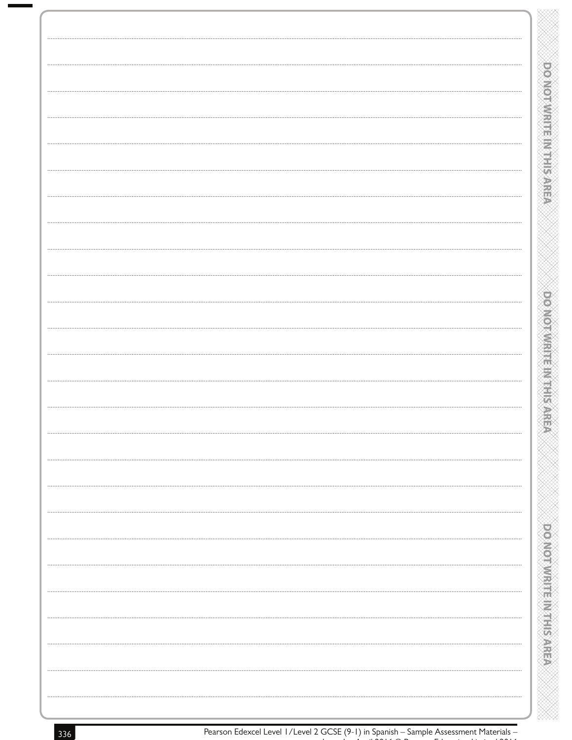|   | <b>DOMOTHWRITERNING</b>    |
|---|----------------------------|
|   |                            |
|   |                            |
|   |                            |
|   |                            |
|   |                            |
|   |                            |
|   |                            |
|   |                            |
|   |                            |
|   |                            |
|   |                            |
|   |                            |
|   |                            |
|   |                            |
|   |                            |
|   |                            |
|   |                            |
|   |                            |
|   |                            |
|   |                            |
|   |                            |
|   |                            |
|   |                            |
|   |                            |
|   |                            |
|   |                            |
|   |                            |
|   |                            |
|   | <b>DOMORAL REPORTS</b>     |
|   |                            |
|   |                            |
|   |                            |
|   |                            |
|   |                            |
|   |                            |
|   |                            |
|   |                            |
|   |                            |
|   |                            |
|   |                            |
|   |                            |
|   |                            |
|   |                            |
|   |                            |
| . |                            |
|   |                            |
|   |                            |
|   |                            |
|   | postogentiamente i società |
|   |                            |
|   |                            |
|   |                            |
|   |                            |
|   |                            |
|   |                            |
|   |                            |
|   |                            |
|   |                            |
|   |                            |
|   |                            |
|   |                            |
|   |                            |

п

ä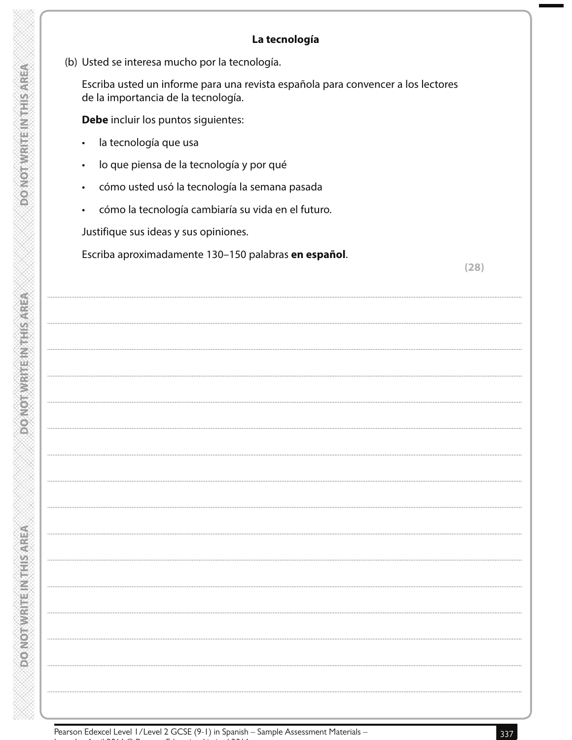(b) Usted se interesa mucho por la tecnología.

Escriba usted un informe para una revista española para convencer a los lectores de la importancia de la tecnología.

Debe incluir los puntos siguientes:

- la tecnología que usa
- lo que piensa de la tecnología y por qué
- cómo usted usó la tecnología la semana pasada
- cómo la tecnología cambiaría su vida en el futuro.

Justifique sus ideas y sus opiniones.

Escriba aproximadamente 130-150 palabras en español.

 $(28)$ 

**DONOTWRITEINITISAREA**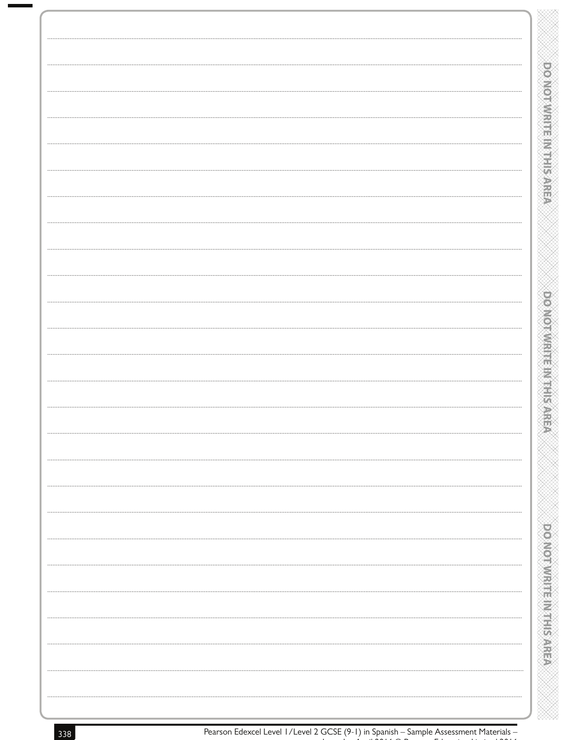|   | <b>DOMOTHWRITERNING</b>         |
|---|---------------------------------|
|   |                                 |
|   |                                 |
|   |                                 |
|   |                                 |
|   |                                 |
|   |                                 |
|   |                                 |
|   |                                 |
|   |                                 |
|   |                                 |
|   |                                 |
|   |                                 |
|   |                                 |
|   |                                 |
|   |                                 |
|   |                                 |
|   |                                 |
|   |                                 |
|   |                                 |
|   |                                 |
|   |                                 |
|   |                                 |
|   | <b>DOMORAL REPORTS</b>          |
|   |                                 |
|   |                                 |
|   |                                 |
|   |                                 |
|   |                                 |
|   |                                 |
|   |                                 |
|   |                                 |
|   |                                 |
| . |                                 |
|   |                                 |
|   |                                 |
|   |                                 |
|   | postosiam article in the series |
|   |                                 |
|   |                                 |
|   |                                 |
|   |                                 |
|   |                                 |
|   |                                 |
|   |                                 |
|   |                                 |
|   |                                 |
|   |                                 |
|   |                                 |
|   |                                 |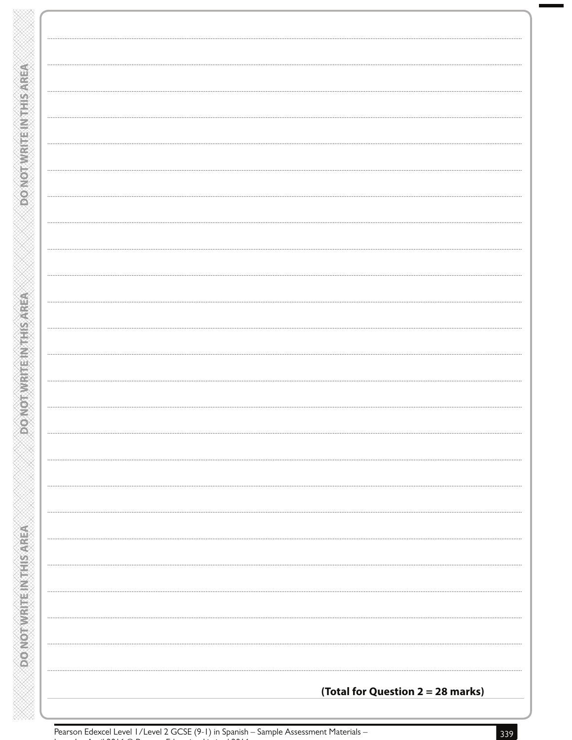|                                | .                                 |
|--------------------------------|-----------------------------------|
|                                |                                   |
|                                |                                   |
|                                |                                   |
|                                |                                   |
|                                |                                   |
|                                |                                   |
|                                |                                   |
|                                |                                   |
|                                |                                   |
|                                |                                   |
|                                |                                   |
|                                |                                   |
|                                |                                   |
|                                |                                   |
|                                |                                   |
|                                |                                   |
|                                |                                   |
|                                |                                   |
|                                |                                   |
|                                |                                   |
|                                |                                   |
|                                |                                   |
|                                |                                   |
|                                |                                   |
|                                |                                   |
|                                |                                   |
|                                |                                   |
|                                |                                   |
|                                |                                   |
|                                |                                   |
|                                |                                   |
|                                |                                   |
|                                |                                   |
|                                |                                   |
|                                |                                   |
|                                |                                   |
|                                |                                   |
|                                |                                   |
|                                |                                   |
|                                |                                   |
|                                |                                   |
|                                |                                   |
|                                |                                   |
|                                |                                   |
|                                |                                   |
| <b>POINOT WRITEIN ITS AREA</b> |                                   |
|                                |                                   |
|                                |                                   |
|                                |                                   |
|                                |                                   |
|                                | (Total for Question 2 = 28 marks) |